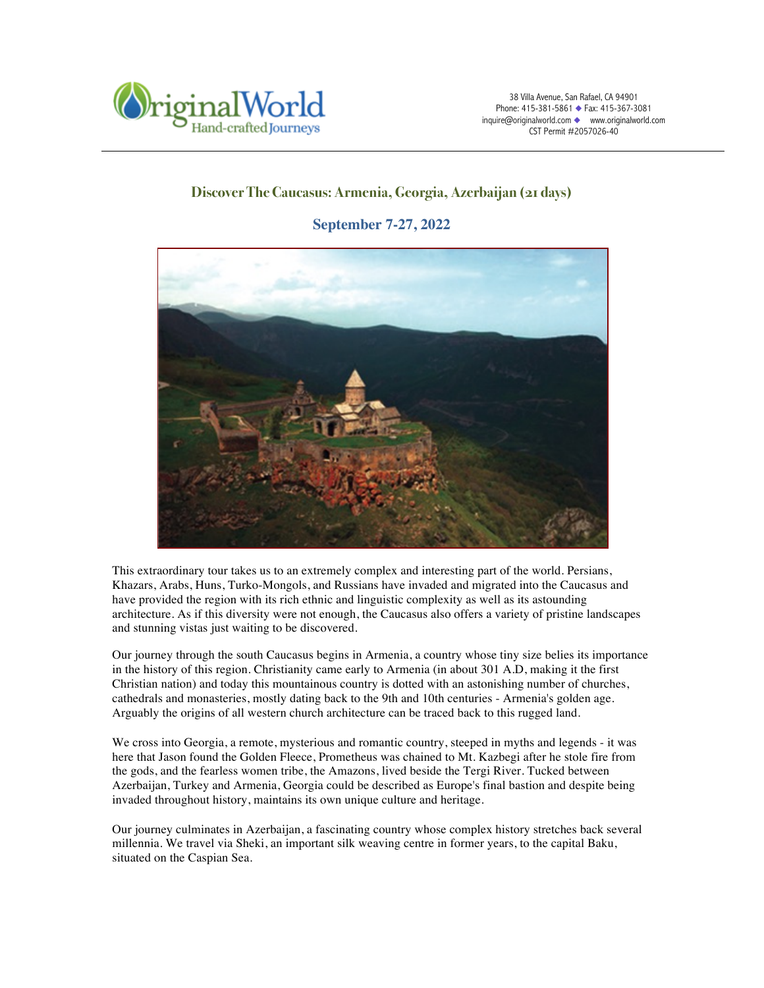

# **Discover The Caucasus: Armenia, Georgia, Azerbaijan (21 days)**

**September 7-27, 2022**



This extraordinary tour takes us to an extremely complex and interesting part of the world. Persians, Khazars, Arabs, Huns, Turko-Mongols, and Russians have invaded and migrated into the Caucasus and have provided the region with its rich ethnic and linguistic complexity as well as its astounding architecture. As if this diversity were not enough, the Caucasus also offers a variety of pristine landscapes and stunning vistas just waiting to be discovered.

Our journey through the south Caucasus begins in Armenia, a country whose tiny size belies its importance in the history of this region. Christianity came early to Armenia (in about 301 A.D, making it the first Christian nation) and today this mountainous country is dotted with an astonishing number of churches, cathedrals and monasteries, mostly dating back to the 9th and 10th centuries - Armenia's golden age. Arguably the origins of all western church architecture can be traced back to this rugged land.

We cross into Georgia, a remote, mysterious and romantic country, steeped in myths and legends - it was here that Jason found the Golden Fleece, Prometheus was chained to Mt. Kazbegi after he stole fire from the gods, and the fearless women tribe, the Amazons, lived beside the Tergi River. Tucked between Azerbaijan, Turkey and Armenia, Georgia could be described as Europe's final bastion and despite being invaded throughout history, maintains its own unique culture and heritage.

Our journey culminates in Azerbaijan, a fascinating country whose complex history stretches back several millennia. We travel via Sheki, an important silk weaving centre in former years, to the capital Baku, situated on the Caspian Sea.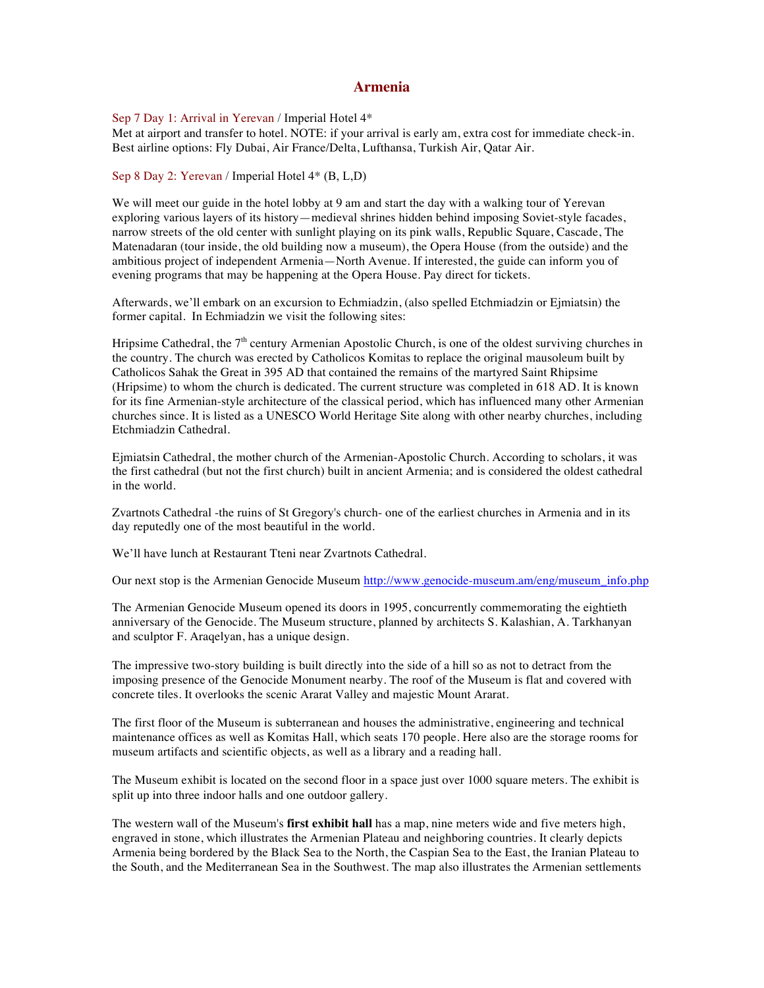# **Armenia**

Sep 7 Day 1: Arrival in Yerevan / Imperial Hotel 4\*

Met at airport and transfer to hotel. NOTE: if your arrival is early am, extra cost for immediate check-in. Best airline options: Fly Dubai, Air France/Delta, Lufthansa, Turkish Air, Qatar Air.

Sep 8 Day 2: Yerevan / Imperial Hotel 4\* (B, L,D)

We will meet our guide in the hotel lobby at 9 am and start the day with a walking tour of Yerevan exploring various layers of its history—medieval shrines hidden behind imposing Soviet-style facades, narrow streets of the old center with sunlight playing on its pink walls, Republic Square, Cascade, The Matenadaran (tour inside, the old building now a museum), the Opera House (from the outside) and the ambitious project of independent Armenia—North Avenue. If interested, the guide can inform you of evening programs that may be happening at the Opera House. Pay direct for tickets.

Afterwards, we'll embark on an excursion to Echmiadzin, (also spelled Etchmiadzin or Ejmiatsin) the former capital. In Echmiadzin we visit the following sites:

Hripsime Cathedral, the  $7<sup>th</sup>$  century Armenian Apostolic Church, is one of the oldest surviving churches in the country. The church was erected by Catholicos Komitas to replace the original mausoleum built by Catholicos Sahak the Great in 395 AD that contained the remains of the martyred Saint Rhipsime (Hripsime) to whom the church is dedicated. The current structure was completed in 618 AD. It is known for its fine Armenian-style architecture of the classical period, which has influenced many other Armenian churches since. It is listed as a UNESCO World Heritage Site along with other nearby churches, including Etchmiadzin Cathedral.

Ejmiatsin Cathedral, the mother church of the Armenian-Apostolic Church. According to scholars, it was the first cathedral (but not the first church) built in ancient Armenia; and is considered the oldest cathedral in the world.

Zvartnots Cathedral -the ruins of St Gregory's church- one of the earliest churches in Armenia and in its day reputedly one of the most beautiful in the world.

We'll have lunch at Restaurant Tteni near Zvartnots Cathedral.

Our next stop is the Armenian Genocide Museum http://www.genocide-museum.am/eng/museum\_info.php

The Armenian Genocide Museum opened its doors in 1995, concurrently commemorating the eightieth anniversary of the Genocide. The Museum structure, planned by architects S. Kalashian, A. Tarkhanyan and sculptor F. Araqelyan, has a unique design.

The impressive two-story building is built directly into the side of a hill so as not to detract from the imposing presence of the Genocide Monument nearby. The roof of the Museum is flat and covered with concrete tiles. It overlooks the scenic Ararat Valley and majestic Mount Ararat.

The first floor of the Museum is subterranean and houses the administrative, engineering and technical maintenance offices as well as Komitas Hall, which seats 170 people. Here also are the storage rooms for museum artifacts and scientific objects, as well as a library and a reading hall.

The Museum exhibit is located on the second floor in a space just over 1000 square meters. The exhibit is split up into three indoor halls and one outdoor gallery.

The western wall of the Museum's **first exhibit hall** has a map, nine meters wide and five meters high, engraved in stone, which illustrates the Armenian Plateau and neighboring countries. It clearly depicts Armenia being bordered by the Black Sea to the North, the Caspian Sea to the East, the Iranian Plateau to the South, and the Mediterranean Sea in the Southwest. The map also illustrates the Armenian settlements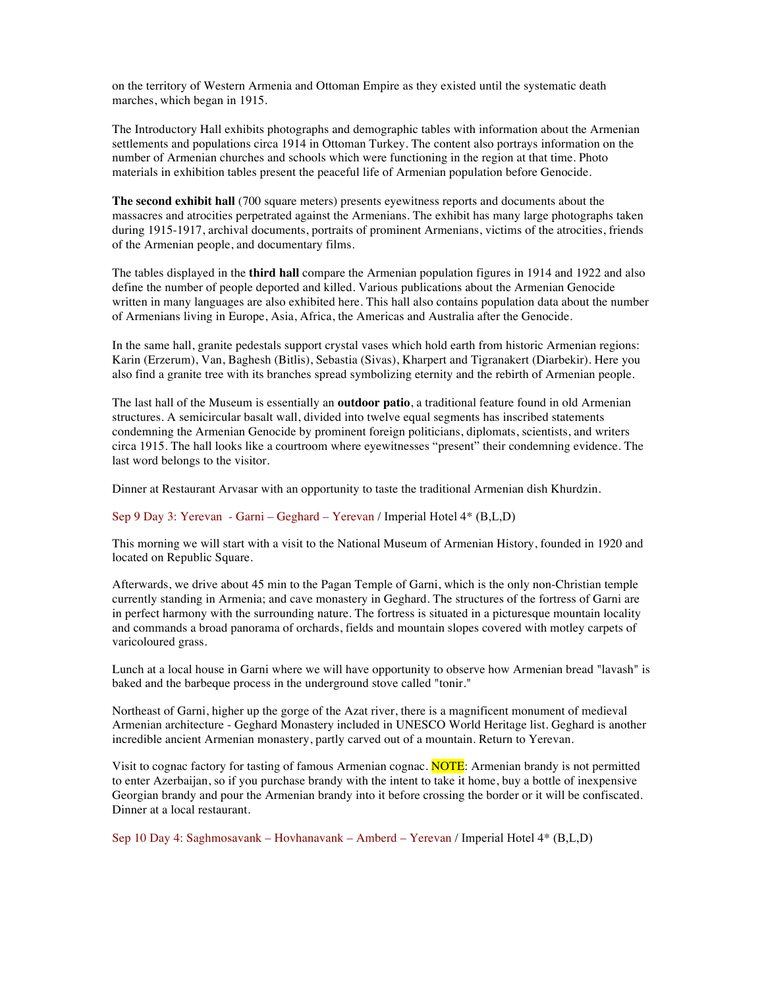on the territory of Western Armenia and Ottoman Empire as they existed until the systematic death marches, which began in 1915.

The Introductory Hall exhibits photographs and demographic tables with information about the Armenian settlements and populations circa 1914 in Ottoman Turkey. The content also portrays information on the number of Armenian churches and schools which were functioning in the region at that time. Photo materials in exhibition tables present the peaceful life of Armenian population before Genocide.

**The second exhibit hall** (700 square meters) presents eyewitness reports and documents about the massacres and atrocities perpetrated against the Armenians. The exhibit has many large photographs taken during 1915-1917, archival documents, portraits of prominent Armenians, victims of the atrocities, friends of the Armenian people, and documentary films.

The tables displayed in the **third hall** compare the Armenian population figures in 1914 and 1922 and also define the number of people deported and killed. Various publications about the Armenian Genocide written in many languages are also exhibited here. This hall also contains population data about the number of Armenians living in Europe, Asia, Africa, the Americas and Australia after the Genocide.

In the same hall, granite pedestals support crystal vases which hold earth from historic Armenian regions: Karin (Erzerum), Van, Baghesh (Bitlis), Sebastia (Sivas), Kharpert and Tigranakert (Diarbekir). Here you also find a granite tree with its branches spread symbolizing eternity and the rebirth of Armenian people.

The last hall of the Museum is essentially an **outdoor patio**, a traditional feature found in old Armenian structures. A semicircular basalt wall, divided into twelve equal segments has inscribed statements condemning the Armenian Genocide by prominent foreign politicians, diplomats, scientists, and writers circa 1915. The hall looks like a courtroom where eyewitnesses "present" their condemning evidence. The last word belongs to the visitor.

Dinner at Restaurant Arvasar with an opportunity to taste the traditional Armenian dish Khurdzin.

#### Sep 9 Day 3: Yerevan - Garni – Geghard – Yerevan / Imperial Hotel 4\* (B,L,D)

This morning we will start with a visit to the National Museum of Armenian History, founded in 1920 and located on Republic Square.

Afterwards, we drive about 45 min to the Pagan Temple of Garni, which is the only non-Christian temple currently standing in Armenia; and cave monastery in Geghard. The structures of the fortress of Garni are in perfect harmony with the surrounding nature. The fortress is situated in a picturesque mountain locality and commands a broad panorama of orchards, fields and mountain slopes covered with motley carpets of varicoloured grass.

Lunch at a local house in Garni where we will have opportunity to observe how Armenian bread "lavash" is baked and the barbeque process in the underground stove called "tonir."

Northeast of Garni, higher up the gorge of the Azat river, there is a magnificent monument of medieval Armenian architecture - Geghard Monastery included in UNESCO World Heritage list. Geghard is another incredible ancient Armenian monastery, partly carved out of a mountain. Return to Yerevan.

Visit to cognac factory for tasting of famous Armenian cognac. **NOTE**: Armenian brandy is not permitted to enter Azerbaijan, so if you purchase brandy with the intent to take it home, buy a bottle of inexpensive Georgian brandy and pour the Armenian brandy into it before crossing the border or it will be confiscated. Dinner at a local restaurant.

Sep 10 Day 4: Saghmosavank – Hovhanavank – Amberd – Yerevan / Imperial Hotel 4\* (B,L,D)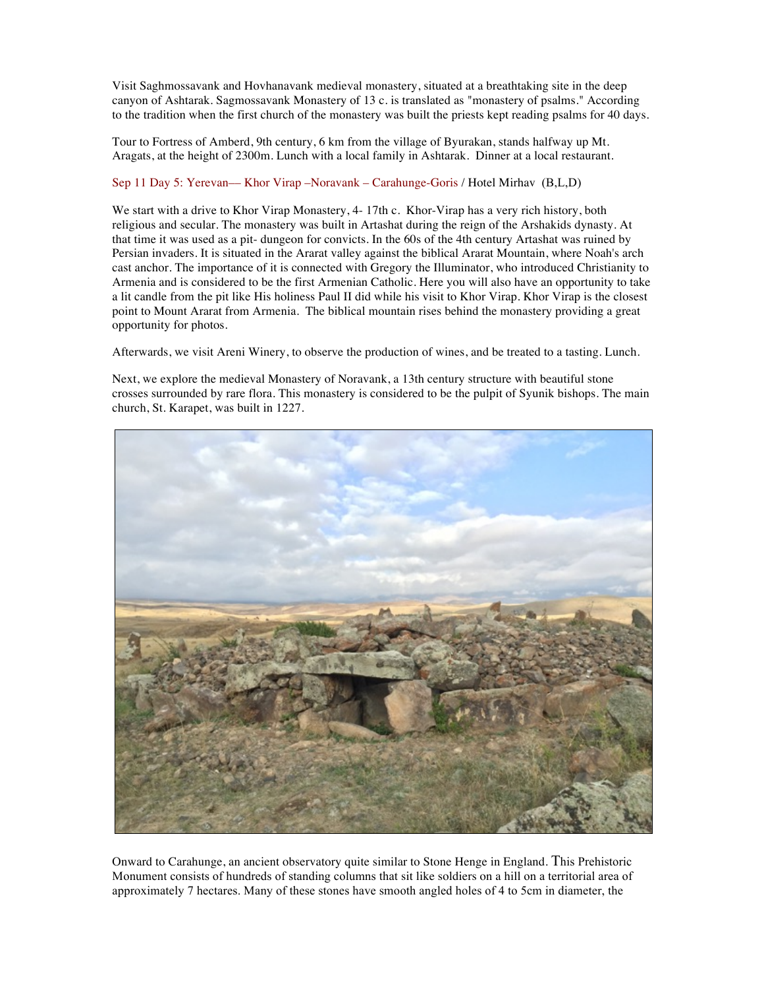Visit Saghmossavank and Hovhanavank medieval monastery, situated at a breathtaking site in the deep canyon of Ashtarak. Sagmossavank Monastery of 13 c. is translated as "monastery of psalms." According to the tradition when the first church of the monastery was built the priests kept reading psalms for 40 days.

Tour to Fortress of Amberd, 9th century, 6 km from the village of Byurakan, stands halfway up Mt. Aragats, at the height of 2300m. Lunch with a local family in Ashtarak. Dinner at a local restaurant.

# Sep 11 Day 5: Yerevan–– Khor Virap –Noravank – Carahunge-Goris / Hotel Mirhav (B,L,D)

We start with a drive to Khor Virap Monastery, 4-17th c. Khor-Virap has a very rich history, both religious and secular. The monastery was built in Artashat during the reign of the Arshakids dynasty. At that time it was used as a pit- dungeon for convicts. In the 60s of the 4th century Artashat was ruined by Persian invaders. It is situated in the Ararat valley against the biblical Ararat Mountain, where Noah's arch cast anchor. The importance of it is connected with Gregory the Illuminator, who introduced Christianity to Armenia and is considered to be the first Armenian Catholic. Here you will also have an opportunity to take a lit candle from the pit like His holiness Paul II did while his visit to Khor Virap. Khor Virap is the closest point to Mount Ararat from Armenia. The biblical mountain rises behind the monastery providing a great opportunity for photos.

Afterwards, we visit Areni Winery, to observe the production of wines, and be treated to a tasting. Lunch.

Next, we explore the medieval Monastery of Noravank, a 13th century structure with beautiful stone crosses surrounded by rare flora. This monastery is considered to be the pulpit of Syunik bishops. The main church, St. Karapet, was built in 1227.



Onward to Carahunge, an ancient observatory quite similar to Stone Henge in England. This Prehistoric Monument consists of hundreds of standing columns that sit like soldiers on a hill on a territorial area of approximately 7 hectares. Many of these stones have smooth angled holes of 4 to 5cm in diameter, the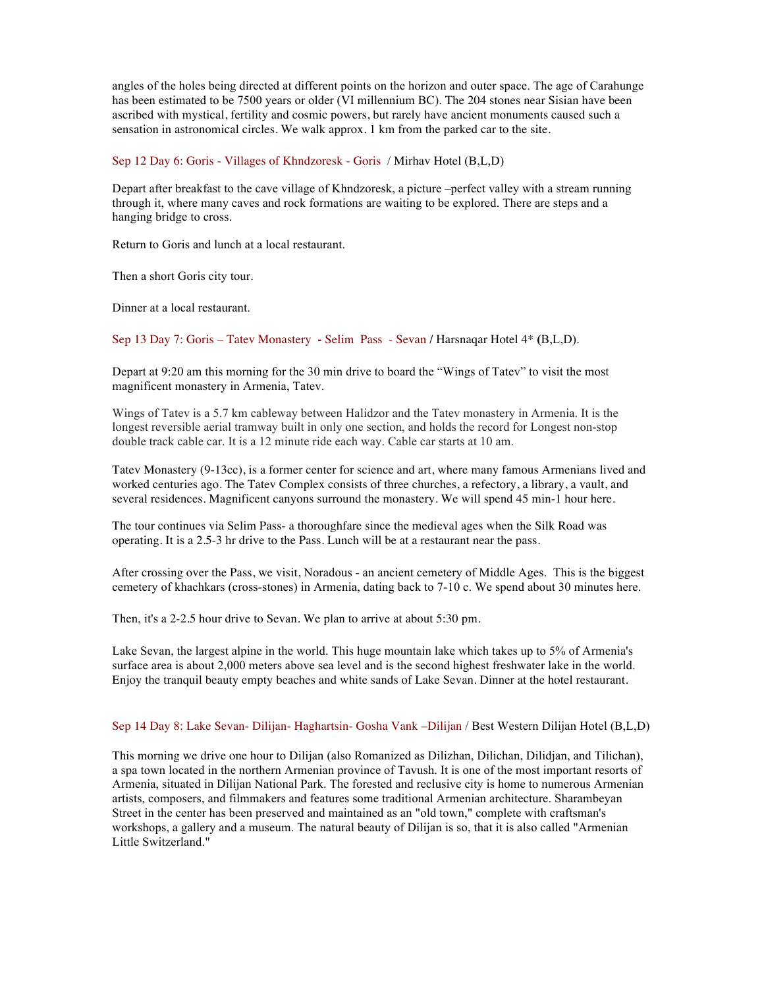angles of the holes being directed at different points on the horizon and outer space. The age of Carahunge has been estimated to be 7500 years or older (VI millennium BC). The 204 stones near Sisian have been ascribed with mystical, fertility and cosmic powers, but rarely have ancient monuments caused such a sensation in astronomical circles. We walk approx. 1 km from the parked car to the site.

Sep 12 Day 6: Goris - Villages of Khndzoresk - Goris / Mirhav Hotel (B,L,D)

Depart after breakfast to the cave village of Khndzoresk, a picture –perfect valley with a stream running through it, where many caves and rock formations are waiting to be explored. There are steps and a hanging bridge to cross.

Return to Goris and lunch at a local restaurant.

Then a short Goris city tour.

Dinner at a local restaurant.

Sep 13 Day 7: Goris – Tatev Monastery **-** Selim Pass - Sevan **/** Harsnaqar Hotel 4\* **(**B,L,D).

Depart at 9:20 am this morning for the 30 min drive to board the "Wings of Tatev" to visit the most magnificent monastery in Armenia, Tatev.

Wings of Tatev is a 5.7 km cableway between Halidzor and the Tatev monastery in Armenia. It is the longest reversible aerial tramway built in only one section, and holds the record for Longest non-stop double track cable car. It is a 12 minute ride each way. Cable car starts at 10 am.

Tatev Monastery (9-13cc), is a former center for science and art, where many famous Armenians lived and worked centuries ago. The Tatev Complex consists of three churches, a refectory, a library, a vault, and several residences. Magnificent canyons surround the monastery. We will spend 45 min-1 hour here.

The tour continues via Selim Pass- a thoroughfare since the medieval ages when the Silk Road was operating. It is a 2.5-3 hr drive to the Pass. Lunch will be at a restaurant near the pass.

After crossing over the Pass, we visit, Noradous - an ancient cemetery of Middle Ages. This is the biggest cemetery of khachkars (cross-stones) in Armenia, dating back to 7-10 c. We spend about 30 minutes here.

Then, it's a 2-2.5 hour drive to Sevan. We plan to arrive at about 5:30 pm.

Lake Sevan, the largest alpine in the world. This huge mountain lake which takes up to 5% of Armenia's surface area is about 2,000 meters above sea level and is the second highest freshwater lake in the world. Enjoy the tranquil beauty empty beaches and white sands of Lake Sevan. Dinner at the hotel restaurant.

Sep 14 Day 8: Lake Sevan- Dilijan- Haghartsin- Gosha Vank –Dilijan / Best Western Dilijan Hotel (B,L,D)

This morning we drive one hour to Dilijan (also Romanized as Dilizhan, Dilichan, Dilidjan, and Tilichan), a spa town located in the northern Armenian province of Tavush. It is one of the most important resorts of Armenia, situated in Dilijan National Park. The forested and reclusive city is home to numerous Armenian artists, composers, and filmmakers and features some traditional Armenian architecture. Sharambeyan Street in the center has been preserved and maintained as an "old town," complete with craftsman's workshops, a gallery and a museum. The natural beauty of Dilijan is so, that it is also called "Armenian Little Switzerland."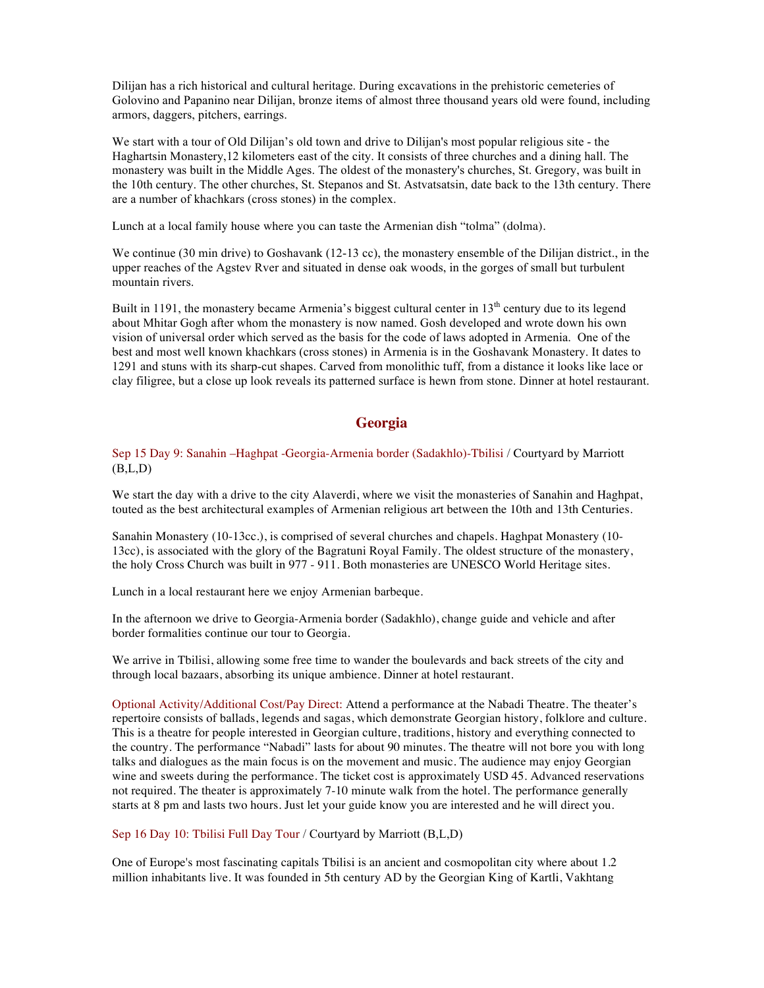Dilijan has a rich historical and cultural heritage. During excavations in the prehistoric cemeteries of Golovino and Papanino near Dilijan, bronze items of almost three thousand years old were found, including armors, daggers, pitchers, earrings.

We start with a tour of Old Dilijan's old town and drive to Dilijan's most popular religious site - the Haghartsin Monastery,12 kilometers east of the city. It consists of three churches and a dining hall. The monastery was built in the Middle Ages. The oldest of the monastery's churches, St. Gregory, was built in the 10th century. The other churches, St. Stepanos and St. Astvatsatsin, date back to the 13th century. There are a number of khachkars (cross stones) in the complex.

Lunch at a local family house where you can taste the Armenian dish "tolma" (dolma).

We continue (30 min drive) to Goshavank (12-13 cc), the monastery ensemble of the Dilijan district., in the upper reaches of the Agstev Rver and situated in dense oak woods, in the gorges of small but turbulent mountain rivers.

Built in 1191, the monastery became Armenia's biggest cultural center in  $13<sup>th</sup>$  century due to its legend about Mhitar Gogh after whom the monastery is now named. Gosh developed and wrote down his own vision of universal order which served as the basis for the code of laws adopted in Armenia. One of the best and most well known khachkars (cross stones) in Armenia is in the Goshavank Monastery. It dates to 1291 and stuns with its sharp-cut shapes. Carved from monolithic tuff, from a distance it looks like lace or clay filigree, but a close up look reveals its patterned surface is hewn from stone. Dinner at hotel restaurant.

# **Georgia**

Sep 15 Day 9: Sanahin –Haghpat -Georgia-Armenia border (Sadakhlo)-Tbilisi / Courtyard by Marriott  $(B,L,D)$ 

We start the day with a drive to the city Alaverdi, where we visit the monasteries of Sanahin and Haghpat, touted as the best architectural examples of Armenian religious art between the 10th and 13th Centuries.

Sanahin Monastery (10-13cc.), is comprised of several churches and chapels. Haghpat Monastery (10- 13cc), is associated with the glory of the Bagratuni Royal Family. The oldest structure of the monastery, the holy Cross Church was built in 977 - 911. Both monasteries are UNESCO World Heritage sites.

Lunch in a local restaurant here we enjoy Armenian barbeque.

In the afternoon we drive to Georgia-Armenia border (Sadakhlo), change guide and vehicle and after border formalities continue our tour to Georgia.

We arrive in Tbilisi, allowing some free time to wander the boulevards and back streets of the city and through local bazaars, absorbing its unique ambience. Dinner at hotel restaurant.

Optional Activity/Additional Cost/Pay Direct: Attend a performance at the Nabadi Theatre. The theater's repertoire consists of ballads, legends and sagas, which demonstrate Georgian history, folklore and culture. This is a theatre for people interested in Georgian culture, traditions, history and everything connected to the country. The performance "Nabadi" lasts for about 90 minutes. The theatre will not bore you with long talks and dialogues as the main focus is on the movement and music. The audience may enjoy Georgian wine and sweets during the performance. The ticket cost is approximately USD 45. Advanced reservations not required. The theater is approximately 7-10 minute walk from the hotel. The performance generally starts at 8 pm and lasts two hours. Just let your guide know you are interested and he will direct you.

Sep 16 Day 10: Tbilisi Full Day Tour / Courtyard by Marriott (B,L,D)

One of Europe's most fascinating capitals Tbilisi is an ancient and cosmopolitan city where about 1.2 million inhabitants live. It was founded in 5th century AD by the Georgian King of Kartli, Vakhtang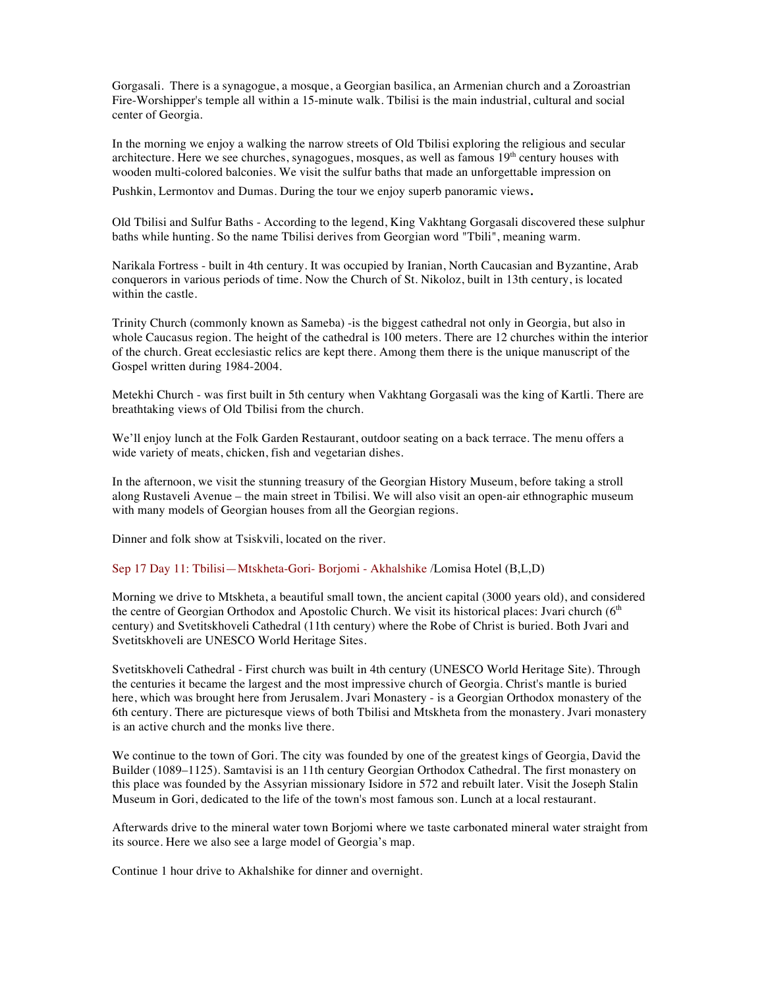Gorgasali. There is a synagogue, a mosque, a Georgian basilica, an Armenian church and a Zoroastrian Fire-Worshipper's temple all within a 15-minute walk. Tbilisi is the main industrial, cultural and social center of Georgia.

In the morning we enjoy a walking the narrow streets of Old Tbilisi exploring the religious and secular architecture. Here we see churches, synagogues, mosques, as well as famous  $19<sup>th</sup>$  century houses with wooden multi-colored balconies. We visit the sulfur baths that made an unforgettable impression on

Pushkin, Lermontov and Dumas. During the tour we enjoy superb panoramic views.

Old Tbilisi and Sulfur Baths - According to the legend, King Vakhtang Gorgasali discovered these sulphur baths while hunting. So the name Tbilisi derives from Georgian word "Tbili", meaning warm.

Narikala Fortress - built in 4th century. It was occupied by Iranian, North Caucasian and Byzantine, Arab conquerors in various periods of time. Now the Church of St. Nikoloz, built in 13th century, is located within the castle.

Trinity Church (commonly known as Sameba) -is the biggest cathedral not only in Georgia, but also in whole Caucasus region. The height of the cathedral is 100 meters. There are 12 churches within the interior of the church. Great ecclesiastic relics are kept there. Among them there is the unique manuscript of the Gospel written during 1984-2004.

Metekhi Church - was first built in 5th century when Vakhtang Gorgasali was the king of Kartli. There are breathtaking views of Old Tbilisi from the church.

We'll enjoy lunch at the Folk Garden Restaurant, outdoor seating on a back terrace. The menu offers a wide variety of meats, chicken, fish and vegetarian dishes.

In the afternoon, we visit the stunning treasury of the Georgian History Museum, before taking a stroll along Rustaveli Avenue – the main street in Tbilisi. We will also visit an open-air ethnographic museum with many models of Georgian houses from all the Georgian regions.

Dinner and folk show at Tsiskvili, located on the river.

Sep 17 Day 11: Tbilisi—Mtskheta-Gori- Borjomi - Akhalshike /Lomisa Hotel (B,L,D)

Morning we drive to Mtskheta, a beautiful small town, the ancient capital (3000 years old), and considered the centre of Georgian Orthodox and Apostolic Church. We visit its historical places: Jvari church (6<sup>th</sup>) century) and Svetitskhoveli Cathedral (11th century) where the Robe of Christ is buried. Both Jvari and Svetitskhoveli are UNESCO World Heritage Sites.

Svetitskhoveli Cathedral - First church was built in 4th century (UNESCO World Heritage Site). Through the centuries it became the largest and the most impressive church of Georgia. Christ's mantle is buried here, which was brought here from Jerusalem. Jvari Monastery - is a Georgian Orthodox monastery of the 6th century. There are picturesque views of both Tbilisi and Mtskheta from the monastery. Jvari monastery is an active church and the monks live there.

We continue to the town of Gori. The city was founded by one of the greatest kings of Georgia, David the Builder (1089–1125). Samtavisi is an 11th century Georgian Orthodox Cathedral. The first monastery on this place was founded by the Assyrian missionary Isidore in 572 and rebuilt later. Visit the Joseph Stalin Museum in Gori, dedicated to the life of the town's most famous son. Lunch at a local restaurant.

Afterwards drive to the mineral water town Borjomi where we taste carbonated mineral water straight from its source. Here we also see a large model of Georgia's map.

Continue 1 hour drive to Akhalshike for dinner and overnight.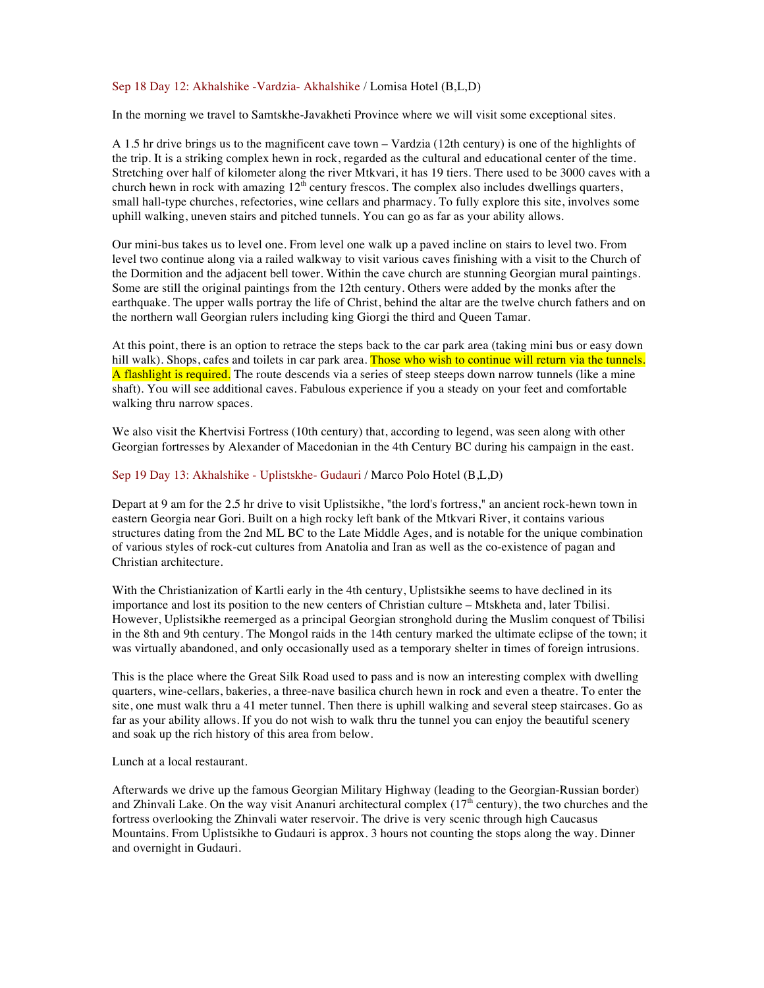## Sep 18 Day 12: Akhalshike -Vardzia- Akhalshike / Lomisa Hotel (B,L,D)

In the morning we travel to Samtskhe-Javakheti Province where we will visit some exceptional sites.

A 1.5 hr drive brings us to the magnificent cave town – Vardzia (12th century) is one of the highlights of the trip. It is a striking complex hewn in rock, regarded as the cultural and educational center of the time. Stretching over half of kilometer along the river Mtkvari, it has 19 tiers. There used to be 3000 caves with a church hewn in rock with amazing  $12^{\bar{h}}$  century frescos. The complex also includes dwellings quarters, small hall-type churches, refectories, wine cellars and pharmacy. To fully explore this site, involves some uphill walking, uneven stairs and pitched tunnels. You can go as far as your ability allows.

Our mini-bus takes us to level one. From level one walk up a paved incline on stairs to level two. From level two continue along via a railed walkway to visit various caves finishing with a visit to the Church of the Dormition and the adjacent bell tower. Within the cave church are stunning Georgian mural paintings. Some are still the original paintings from the 12th century. Others were added by the monks after the earthquake. The upper walls portray the life of Christ, behind the altar are the twelve church fathers and on the northern wall Georgian rulers including king Giorgi the third and Queen Tamar.

At this point, there is an option to retrace the steps back to the car park area (taking mini bus or easy down hill walk). Shops, cafes and toilets in car park area. Those who wish to continue will return via the tunnels. A flashlight is required. The route descends via a series of steep steeps down narrow tunnels (like a mine shaft). You will see additional caves. Fabulous experience if you a steady on your feet and comfortable walking thru narrow spaces.

We also visit the Khertvisi Fortress (10th century) that, according to legend, was seen along with other Georgian fortresses by Alexander of Macedonian in the 4th Century BC during his campaign in the east.

# Sep 19 Day 13: Akhalshike - Uplistskhe- Gudauri / Marco Polo Hotel (B,L,D)

Depart at 9 am for the 2.5 hr drive to visit Uplistsikhe, "the lord's fortress," an ancient rock-hewn town in eastern Georgia near Gori. Built on a high rocky left bank of the Mtkvari River, it contains various structures dating from the 2nd ML BC to the Late Middle Ages, and is notable for the unique combination of various styles of rock-cut cultures from Anatolia and Iran as well as the co-existence of pagan and Christian architecture.

With the Christianization of Kartli early in the 4th century, Uplistsikhe seems to have declined in its importance and lost its position to the new centers of Christian culture – Mtskheta and, later Tbilisi. However, Uplistsikhe reemerged as a principal Georgian stronghold during the Muslim conquest of Tbilisi in the 8th and 9th century. The Mongol raids in the 14th century marked the ultimate eclipse of the town; it was virtually abandoned, and only occasionally used as a temporary shelter in times of foreign intrusions.

This is the place where the Great Silk Road used to pass and is now an interesting complex with dwelling quarters, wine-cellars, bakeries, a three-nave basilica church hewn in rock and even a theatre. To enter the site, one must walk thru a 41 meter tunnel. Then there is uphill walking and several steep staircases. Go as far as your ability allows. If you do not wish to walk thru the tunnel you can enjoy the beautiful scenery and soak up the rich history of this area from below.

Lunch at a local restaurant.

Afterwards we drive up the famous Georgian Military Highway (leading to the Georgian-Russian border) and Zhinvali Lake. On the way visit Ananuri architectural complex  $(17<sup>th</sup>$  century), the two churches and the fortress overlooking the Zhinvali water reservoir. The drive is very scenic through high Caucasus Mountains. From Uplistsikhe to Gudauri is approx. 3 hours not counting the stops along the way. Dinner and overnight in Gudauri.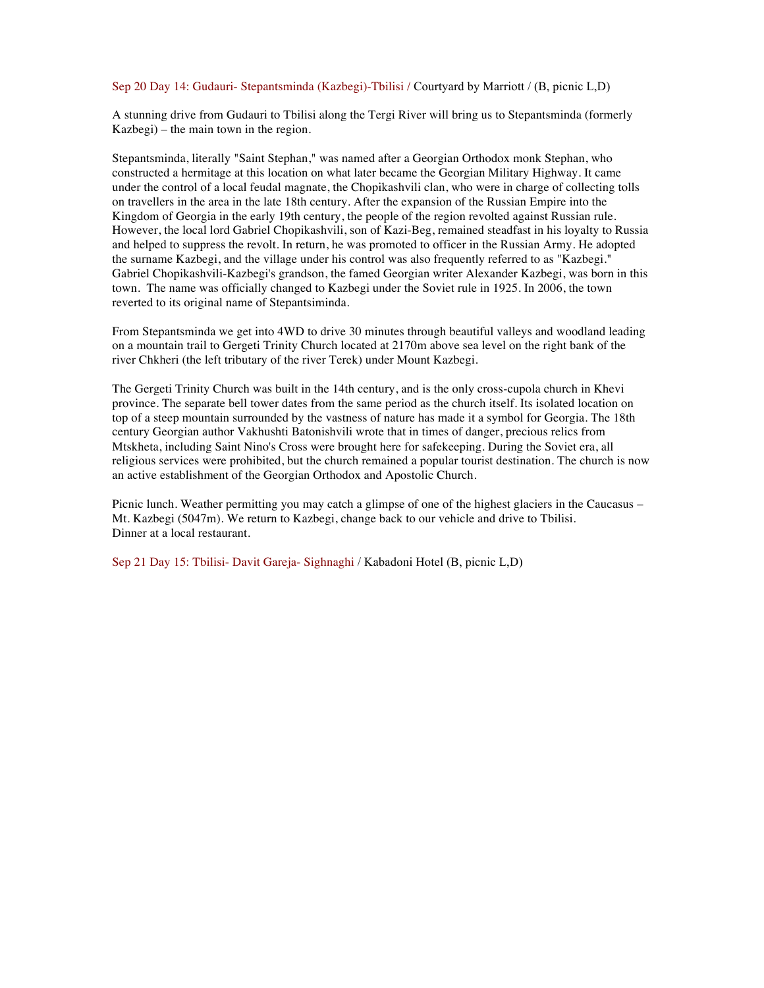#### Sep 20 Day 14: Gudauri- Stepantsminda (Kazbegi)-Tbilisi / Courtyard by Marriott / (B, picnic L,D)

A stunning drive from Gudauri to Tbilisi along the Tergi River will bring us to Stepantsminda (formerly Kazbegi) – the main town in the region.

Stepantsminda, literally "Saint Stephan," was named after a Georgian Orthodox monk Stephan, who constructed a hermitage at this location on what later became the Georgian Military Highway. It came under the control of a local feudal magnate, the Chopikashvili clan, who were in charge of collecting tolls on travellers in the area in the late 18th century. After the expansion of the Russian Empire into the Kingdom of Georgia in the early 19th century, the people of the region revolted against Russian rule. However, the local lord Gabriel Chopikashvili, son of Kazi-Beg, remained steadfast in his loyalty to Russia and helped to suppress the revolt. In return, he was promoted to officer in the Russian Army. He adopted the surname Kazbegi, and the village under his control was also frequently referred to as "Kazbegi." Gabriel Chopikashvili-Kazbegi's grandson, the famed Georgian writer Alexander Kazbegi, was born in this town. The name was officially changed to Kazbegi under the Soviet rule in 1925. In 2006, the town reverted to its original name of Stepantsiminda.

From Stepantsminda we get into 4WD to drive 30 minutes through beautiful valleys and woodland leading on a mountain trail to Gergeti Trinity Church located at 2170m above sea level on the right bank of the river Chkheri (the left tributary of the river Terek) under Mount Kazbegi.

The Gergeti Trinity Church was built in the 14th century, and is the only cross-cupola church in Khevi province. The separate bell tower dates from the same period as the church itself. Its isolated location on top of a steep mountain surrounded by the vastness of nature has made it a symbol for Georgia. The 18th century Georgian author Vakhushti Batonishvili wrote that in times of danger, precious relics from Mtskheta, including Saint Nino's Cross were brought here for safekeeping. During the Soviet era, all religious services were prohibited, but the church remained a popular tourist destination. The church is now an active establishment of the Georgian Orthodox and Apostolic Church.

Picnic lunch. Weather permitting you may catch a glimpse of one of the highest glaciers in the Caucasus – Mt. Kazbegi (5047m). We return to Kazbegi, change back to our vehicle and drive to Tbilisi. Dinner at a local restaurant.

Sep 21 Day 15: Tbilisi- Davit Gareja- Sighnaghi / Kabadoni Hotel (B, picnic L,D)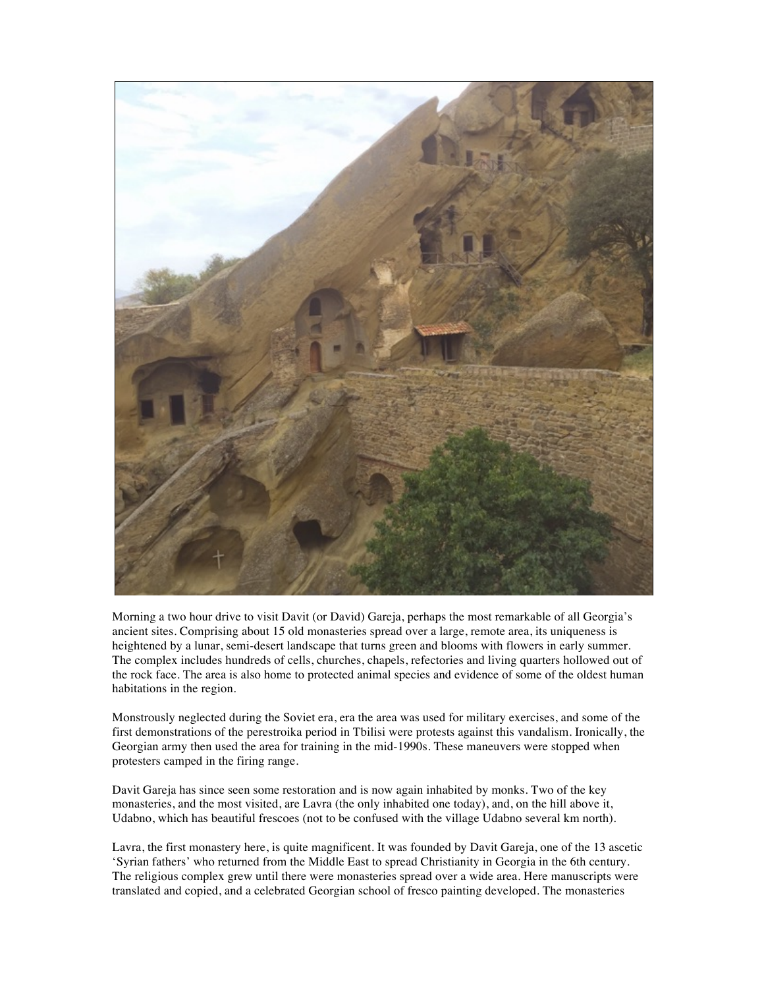

Morning a two hour drive to visit Davit (or David) Gareja, perhaps the most remarkable of all Georgia's ancient sites. Comprising about 15 old monasteries spread over a large, remote area, its uniqueness is heightened by a lunar, semi-desert landscape that turns green and blooms with flowers in early summer. The complex includes hundreds of cells, churches, chapels, refectories and living quarters hollowed out of the rock face. The area is also home to protected animal species and evidence of some of the oldest human habitations in the region.

Monstrously neglected during the Soviet era, era the area was used for military exercises, and some of the first demonstrations of the perestroika period in Tbilisi were protests against this vandalism. Ironically, the Georgian army then used the area for training in the mid-1990s. These maneuvers were stopped when protesters camped in the firing range.

Davit Gareja has since seen some restoration and is now again inhabited by monks. Two of the key monasteries, and the most visited, are Lavra (the only inhabited one today), and, on the hill above it, Udabno, which has beautiful frescoes (not to be confused with the village Udabno several km north).

Lavra, the first monastery here, is quite magnificent. It was founded by Davit Gareja, one of the 13 ascetic 'Syrian fathers' who returned from the Middle East to spread Christianity in Georgia in the 6th century. The religious complex grew until there were monasteries spread over a wide area. Here manuscripts were translated and copied, and a celebrated Georgian school of fresco painting developed. The monasteries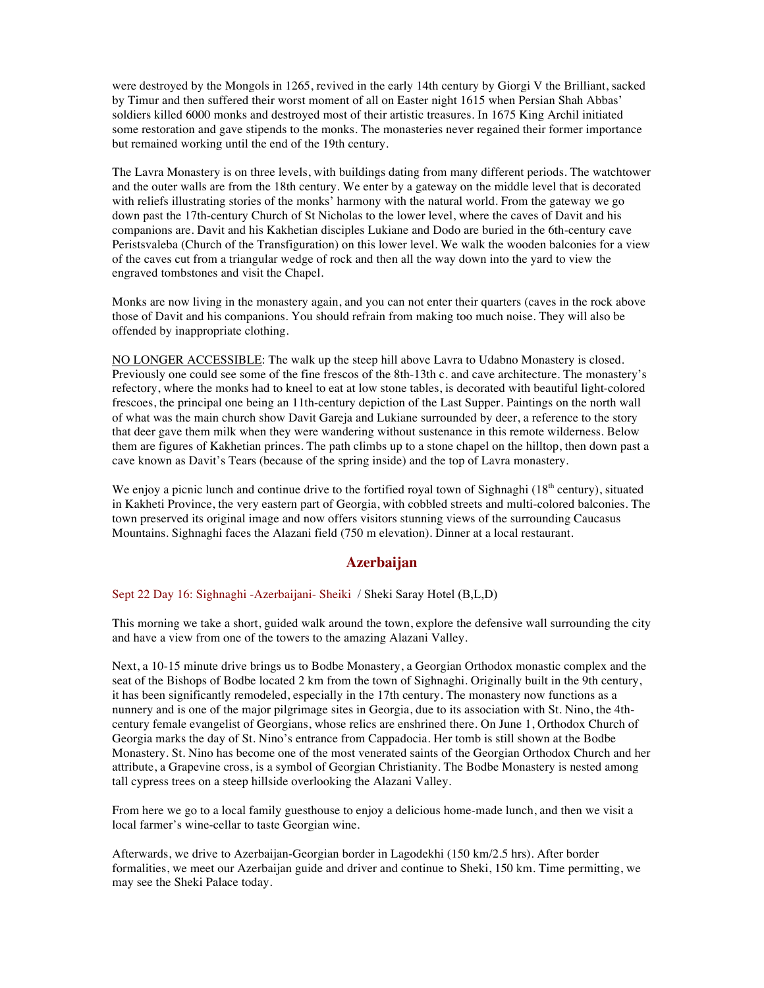were destroyed by the Mongols in 1265, revived in the early 14th century by Giorgi V the Brilliant, sacked by Timur and then suffered their worst moment of all on Easter night 1615 when Persian Shah Abbas' soldiers killed 6000 monks and destroyed most of their artistic treasures. In 1675 King Archil initiated some restoration and gave stipends to the monks. The monasteries never regained their former importance but remained working until the end of the 19th century.

The Lavra Monastery is on three levels, with buildings dating from many different periods. The watchtower and the outer walls are from the 18th century. We enter by a gateway on the middle level that is decorated with reliefs illustrating stories of the monks' harmony with the natural world. From the gateway we go down past the 17th-century Church of St Nicholas to the lower level, where the caves of Davit and his companions are. Davit and his Kakhetian disciples Lukiane and Dodo are buried in the 6th-century cave Peristsvaleba (Church of the Transfiguration) on this lower level. We walk the wooden balconies for a view of the caves cut from a triangular wedge of rock and then all the way down into the yard to view the engraved tombstones and visit the Chapel.

Monks are now living in the monastery again, and you can not enter their quarters (caves in the rock above those of Davit and his companions. You should refrain from making too much noise. They will also be offended by inappropriate clothing.

NO LONGER ACCESSIBLE: The walk up the steep hill above Lavra to Udabno Monastery is closed. Previously one could see some of the fine frescos of the 8th-13th c. and cave architecture. The monastery's refectory, where the monks had to kneel to eat at low stone tables, is decorated with beautiful light-colored frescoes, the principal one being an 11th-century depiction of the Last Supper. Paintings on the north wall of what was the main church show Davit Gareja and Lukiane surrounded by deer, a reference to the story that deer gave them milk when they were wandering without sustenance in this remote wilderness. Below them are figures of Kakhetian princes. The path climbs up to a stone chapel on the hilltop, then down past a cave known as Davit's Tears (because of the spring inside) and the top of Lavra monastery.

We enjoy a picnic lunch and continue drive to the fortified royal town of Sighnaghi ( $18<sup>th</sup>$  century), situated in Kakheti Province, the very eastern part of Georgia, with cobbled streets and multi-colored balconies. The town preserved its original image and now offers visitors stunning views of the surrounding Caucasus Mountains. Sighnaghi faces the Alazani field (750 m elevation). Dinner at a local restaurant.

# **Azerbaijan**

Sept 22 Day 16: Sighnaghi -Azerbaijani- Sheiki / Sheki Saray Hotel (B,L,D)

This morning we take a short, guided walk around the town, explore the defensive wall surrounding the city and have a view from one of the towers to the amazing Alazani Valley.

Next, a 10-15 minute drive brings us to Bodbe Monastery, a Georgian Orthodox monastic complex and the seat of the Bishops of Bodbe located 2 km from the town of Sighnaghi. Originally built in the 9th century, it has been significantly remodeled, especially in the 17th century. The monastery now functions as a nunnery and is one of the major pilgrimage sites in Georgia, due to its association with St. Nino, the 4thcentury female evangelist of Georgians, whose relics are enshrined there. On June 1, Orthodox Church of Georgia marks the day of St. Nino's entrance from Cappadocia. Her tomb is still shown at the Bodbe Monastery. St. Nino has become one of the most venerated saints of the Georgian Orthodox Church and her attribute, a Grapevine cross, is a symbol of Georgian Christianity. The Bodbe Monastery is nested among tall cypress trees on a steep hillside overlooking the Alazani Valley.

From here we go to a local family guesthouse to enjoy a delicious home-made lunch, and then we visit a local farmer's wine-cellar to taste Georgian wine.

Afterwards, we drive to Azerbaijan-Georgian border in Lagodekhi (150 km/2.5 hrs). After border formalities, we meet our Azerbaijan guide and driver and continue to Sheki, 150 km. Time permitting, we may see the Sheki Palace today.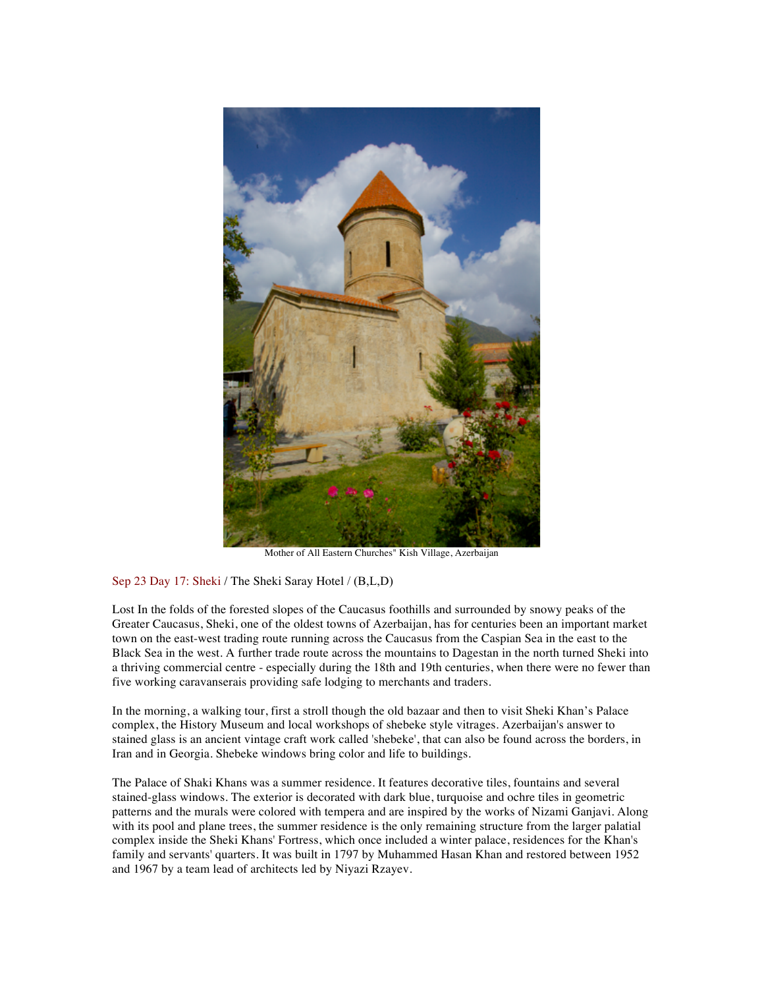

Mother of All Eastern Churches" Kish Village, Azerbaijan

# Sep 23 Day 17: Sheki / The Sheki Saray Hotel / (B,L,D)

Lost In the folds of the forested slopes of the Caucasus foothills and surrounded by snowy peaks of the Greater Caucasus, Sheki, one of the oldest towns of Azerbaijan, has for centuries been an important market town on the east-west trading route running across the Caucasus from the Caspian Sea in the east to the Black Sea in the west. A further trade route across the mountains to Dagestan in the north turned Sheki into a thriving commercial centre - especially during the 18th and 19th centuries, when there were no fewer than five working caravanserais providing safe lodging to merchants and traders.

In the morning, a walking tour, first a stroll though the old bazaar and then to visit Sheki Khan's Palace complex, the History Museum and local workshops of shebeke style vitrages. Azerbaijan's answer to stained glass is an ancient vintage craft work called 'shebeke', that can also be found across the borders, in Iran and in Georgia. Shebeke windows bring color and life to buildings.

The Palace of Shaki Khans was a summer residence. It features decorative tiles, fountains and several stained-glass windows. The exterior is decorated with dark blue, turquoise and ochre tiles in geometric patterns and the murals were colored with tempera and are inspired by the works of Nizami Ganjavi. Along with its pool and plane trees, the summer residence is the only remaining structure from the larger palatial complex inside the Sheki Khans' Fortress, which once included a winter palace, residences for the Khan's family and servants' quarters. It was built in 1797 by Muhammed Hasan Khan and restored between 1952 and 1967 by a team lead of architects led by Niyazi Rzayev.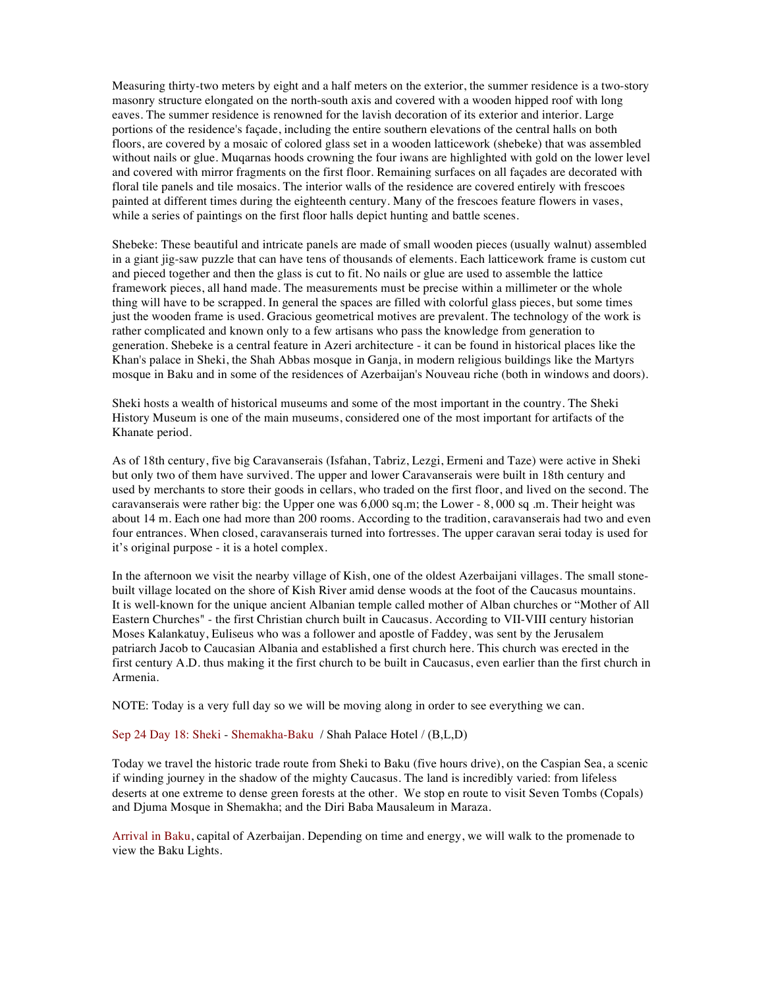Measuring thirty-two meters by eight and a half meters on the exterior, the summer residence is a two-story masonry structure elongated on the north-south axis and covered with a wooden hipped roof with long eaves. The summer residence is renowned for the lavish decoration of its exterior and interior. Large portions of the residence's façade, including the entire southern elevations of the central halls on both floors, are covered by a mosaic of colored glass set in a wooden latticework (shebeke) that was assembled without nails or glue. Muqarnas hoods crowning the four iwans are highlighted with gold on the lower level and covered with mirror fragments on the first floor. Remaining surfaces on all façades are decorated with floral tile panels and tile mosaics. The interior walls of the residence are covered entirely with frescoes painted at different times during the eighteenth century. Many of the frescoes feature flowers in vases, while a series of paintings on the first floor halls depict hunting and battle scenes.

Shebeke: These beautiful and intricate panels are made of small wooden pieces (usually walnut) assembled in a giant jig-saw puzzle that can have tens of thousands of elements. Each latticework frame is custom cut and pieced together and then the glass is cut to fit. No nails or glue are used to assemble the lattice framework pieces, all hand made. The measurements must be precise within a millimeter or the whole thing will have to be scrapped. In general the spaces are filled with colorful glass pieces, but some times just the wooden frame is used. Gracious geometrical motives are prevalent. The technology of the work is rather complicated and known only to a few artisans who pass the knowledge from generation to generation. Shebeke is a central feature in Azeri architecture - it can be found in historical places like the Khan's palace in Sheki, the Shah Abbas mosque in Ganja, in modern religious buildings like the Martyrs mosque in Baku and in some of the residences of Azerbaijan's Nouveau riche (both in windows and doors).

Sheki hosts a wealth of historical museums and some of the most important in the country. The Sheki History Museum is one of the main museums, considered one of the most important for artifacts of the Khanate period.

As of 18th century, five big Caravanserais (Isfahan, Tabriz, Lezgi, Ermeni and Taze) were active in Sheki but only two of them have survived. The upper and lower Caravanserais were built in 18th century and used by merchants to store their goods in cellars, who traded on the first floor, and lived on the second. The caravanserais were rather big: the Upper one was 6,000 sq.m; the Lower - 8, 000 sq .m. Their height was about 14 m. Each one had more than 200 rooms. According to the tradition, caravanserais had two and even four entrances. When closed, caravanserais turned into fortresses. The upper caravan serai today is used for it's original purpose - it is a hotel complex.

In the afternoon we visit the nearby village of Kish, one of the oldest Azerbaijani villages. The small stonebuilt village located on the shore of Kish River amid dense woods at the foot of the Caucasus mountains. It is well-known for the unique ancient Albanian temple called mother of Alban churches or "Mother of All Eastern Churches" - the first Christian church built in Caucasus. According to VII-VIII century historian Moses Kalankatuy, Euliseus who was a follower and apostle of Faddey, was sent by the Jerusalem patriarch Jacob to Caucasian Albania and established a first church here. This church was erected in the first century A.D. thus making it the first church to be built in Caucasus, even earlier than the first church in Armenia.

NOTE: Today is a very full day so we will be moving along in order to see everything we can.

# Sep 24 Day 18: Sheki - Shemakha-Baku / Shah Palace Hotel / (B,L,D)

Today we travel the historic trade route from Sheki to Baku (five hours drive), on the Caspian Sea, a scenic if winding journey in the shadow of the mighty Caucasus. The land is incredibly varied: from lifeless deserts at one extreme to dense green forests at the other. We stop en route to visit Seven Tombs (Copals) and Djuma Mosque in Shemakha; and the Diri Baba Mausaleum in Maraza.

Arrival in Baku, capital of Azerbaijan. Depending on time and energy, we will walk to the promenade to view the Baku Lights.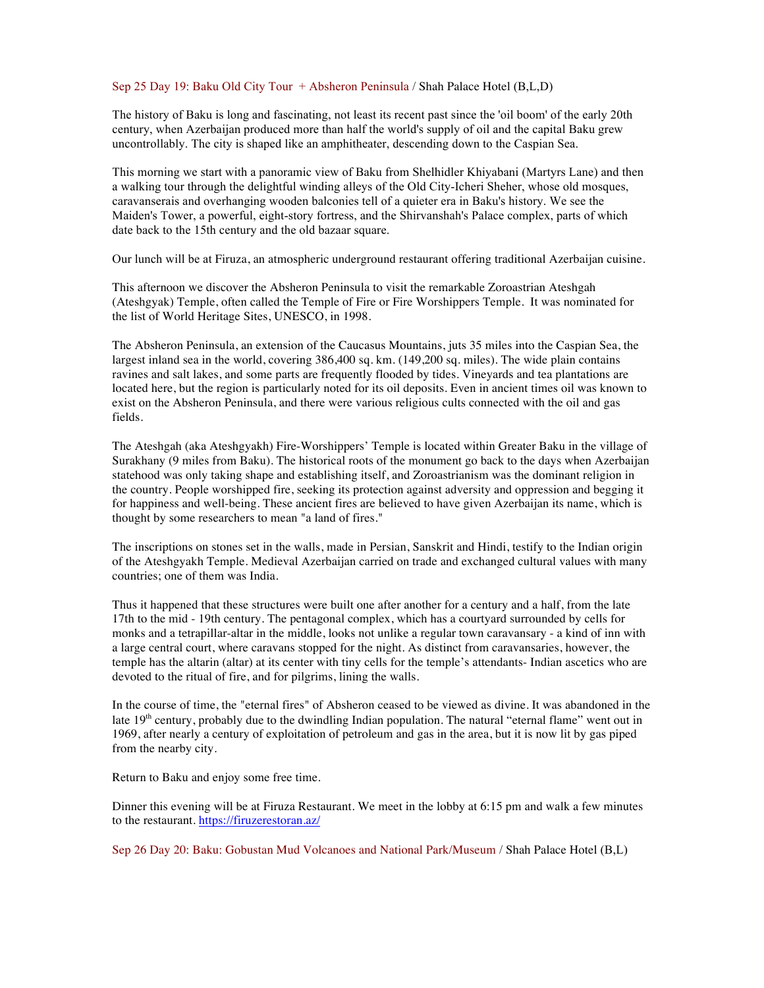## Sep 25 Day 19: Baku Old City Tour + Absheron Peninsula / Shah Palace Hotel (B,L,D)

The history of Baku is long and fascinating, not least its recent past since the 'oil boom' of the early 20th century, when Azerbaijan produced more than half the world's supply of oil and the capital Baku grew uncontrollably. The city is shaped like an amphitheater, descending down to the Caspian Sea.

This morning we start with a panoramic view of Baku from Shelhidler Khiyabani (Martyrs Lane) and then a walking tour through the delightful winding alleys of the Old City-Icheri Sheher, whose old mosques, caravanserais and overhanging wooden balconies tell of a quieter era in Baku's history. We see the Maiden's Tower, a powerful, eight-story fortress, and the Shirvanshah's Palace complex, parts of which date back to the 15th century and the old bazaar square.

Our lunch will be at Firuza, an atmospheric underground restaurant offering traditional Azerbaijan cuisine.

This afternoon we discover the Absheron Peninsula to visit the remarkable Zoroastrian Ateshgah (Ateshgyak) Temple, often called the Temple of Fire or Fire Worshippers Temple. It was nominated for the list of World Heritage Sites, UNESCO, in 1998.

The Absheron Peninsula, an extension of the Caucasus Mountains, juts 35 miles into the Caspian Sea, the largest inland sea in the world, covering 386,400 sq. km. (149,200 sq. miles). The wide plain contains ravines and salt lakes, and some parts are frequently flooded by tides. Vineyards and tea plantations are located here, but the region is particularly noted for its oil deposits. Even in ancient times oil was known to exist on the Absheron Peninsula, and there were various religious cults connected with the oil and gas fields.

The Ateshgah (aka Ateshgyakh) Fire-Worshippers' Temple is located within Greater Baku in the village of Surakhany (9 miles from Baku). The historical roots of the monument go back to the days when Azerbaijan statehood was only taking shape and establishing itself, and Zoroastrianism was the dominant religion in the country. People worshipped fire, seeking its protection against adversity and oppression and begging it for happiness and well-being. These ancient fires are believed to have given Azerbaijan its name, which is thought by some researchers to mean "a land of fires."

The inscriptions on stones set in the walls, made in Persian, Sanskrit and Hindi, testify to the Indian origin of the Ateshgyakh Temple. Medieval Azerbaijan carried on trade and exchanged cultural values with many countries; one of them was India.

Thus it happened that these structures were built one after another for a century and a half, from the late 17th to the mid - 19th century. The pentagonal complex, which has a courtyard surrounded by cells for monks and a tetrapillar-altar in the middle, looks not unlike a regular town caravansary - a kind of inn with a large central court, where caravans stopped for the night. As distinct from caravansaries, however, the temple has the altarin (altar) at its center with tiny cells for the temple's attendants- Indian ascetics who are devoted to the ritual of fire, and for pilgrims, lining the walls.

In the course of time, the "eternal fires" of Absheron ceased to be viewed as divine. It was abandoned in the late  $19<sup>th</sup>$  century, probably due to the dwindling Indian population. The natural "eternal flame" went out in 1969, after nearly a century of exploitation of petroleum and gas in the area, but it is now lit by gas piped from the nearby city.

Return to Baku and enjoy some free time.

Dinner this evening will be at Firuza Restaurant. We meet in the lobby at 6:15 pm and walk a few minutes to the restaurant. https://firuzerestoran.az/

Sep 26 Day 20: Baku: Gobustan Mud Volcanoes and National Park/Museum / Shah Palace Hotel (B,L)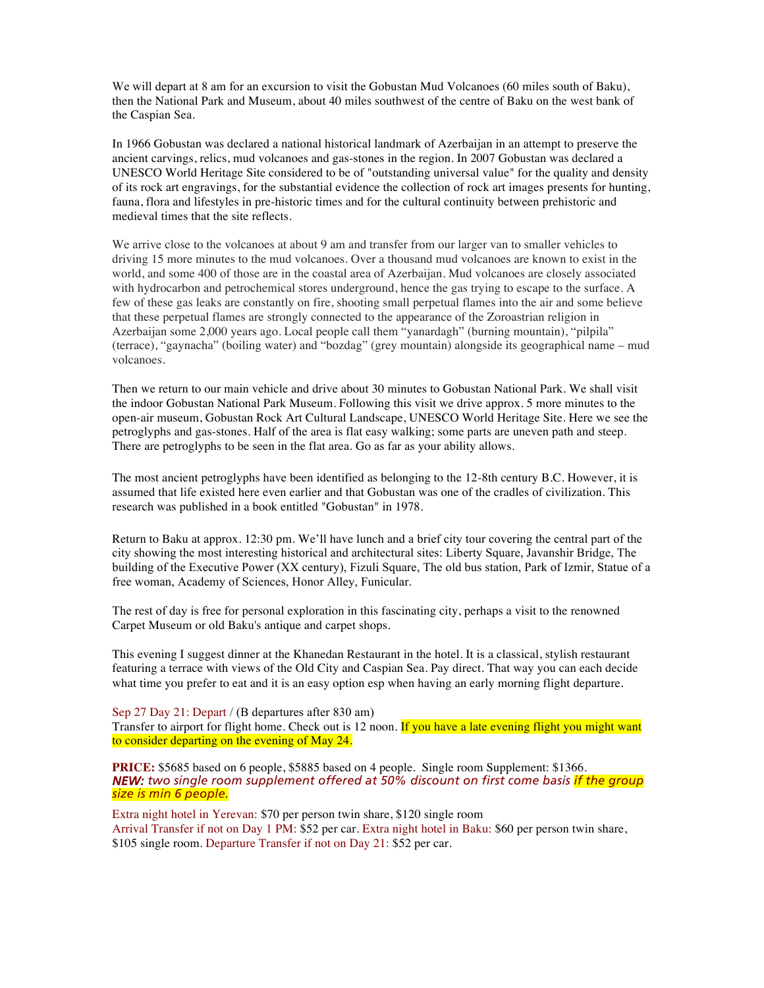We will depart at 8 am for an excursion to visit the Gobustan Mud Volcanoes (60 miles south of Baku), then the National Park and Museum, about 40 miles southwest of the centre of Baku on the west bank of the Caspian Sea.

In 1966 Gobustan was declared a national historical landmark of Azerbaijan in an attempt to preserve the ancient carvings, relics, mud volcanoes and gas-stones in the region. In 2007 Gobustan was declared a UNESCO World Heritage Site considered to be of "outstanding universal value" for the quality and density of its rock art engravings, for the substantial evidence the collection of rock art images presents for hunting, fauna, flora and lifestyles in pre-historic times and for the cultural continuity between prehistoric and medieval times that the site reflects.

We arrive close to the volcanoes at about 9 am and transfer from our larger van to smaller vehicles to driving 15 more minutes to the mud volcanoes. Over a thousand mud volcanoes are known to exist in the world, and some 400 of those are in the coastal area of Azerbaijan. Mud volcanoes are closely associated with hydrocarbon and petrochemical stores underground, hence the gas trying to escape to the surface. A few of these gas leaks are constantly on fire, shooting small perpetual flames into the air and some believe that these perpetual flames are strongly connected to the appearance of the Zoroastrian religion in Azerbaijan some 2,000 years ago. Local people call them "yanardagh" (burning mountain), "pilpila" (terrace), "gaynacha" (boiling water) and "bozdag" (grey mountain) alongside its geographical name – mud volcanoes.

Then we return to our main vehicle and drive about 30 minutes to Gobustan National Park. We shall visit the indoor Gobustan National Park Museum. Following this visit we drive approx. 5 more minutes to the open-air museum, Gobustan Rock Art Cultural Landscape, UNESCO World Heritage Site. Here we see the petroglyphs and gas-stones. Half of the area is flat easy walking; some parts are uneven path and steep. There are petroglyphs to be seen in the flat area. Go as far as your ability allows.

The most ancient petroglyphs have been identified as belonging to the 12-8th century B.C. However, it is assumed that life existed here even earlier and that Gobustan was one of the cradles of civilization. This research was published in a book entitled "Gobustan" in 1978.

Return to Baku at approx. 12:30 pm. We'll have lunch and a brief city tour covering the central part of the city showing the most interesting historical and architectural sites: Liberty Square, Javanshir Bridge, The building of the Executive Power (XX century), Fizuli Square, The old bus station, Park of Izmir, Statue of a free woman, Academy of Sciences, Honor Alley, Funicular.

The rest of day is free for personal exploration in this fascinating city, perhaps a visit to the renowned Carpet Museum or old Baku's antique and carpet shops.

This evening I suggest dinner at the Khanedan Restaurant in the hotel. It is a classical, stylish restaurant featuring a terrace with views of the Old City and Caspian Sea. Pay direct. That way you can each decide what time you prefer to eat and it is an easy option esp when having an early morning flight departure.

Sep 27 Day 21: Depart / (B departures after 830 am) Transfer to airport for flight home. Check out is 12 noon. If you have a late evening flight you might want to consider departing on the evening of May 24.

**PRICE:** \$5685 based on 6 people, \$5885 based on 4 people. Single room Supplement: \$1366. *NEW: two single room supplement offered at 50% discount on first come basis if the group size is min 6 people.* 

Extra night hotel in Yerevan: \$70 per person twin share, \$120 single room Arrival Transfer if not on Day 1 PM: \$52 per car. Extra night hotel in Baku: \$60 per person twin share, \$105 single room. Departure Transfer if not on Day 21: \$52 per car.